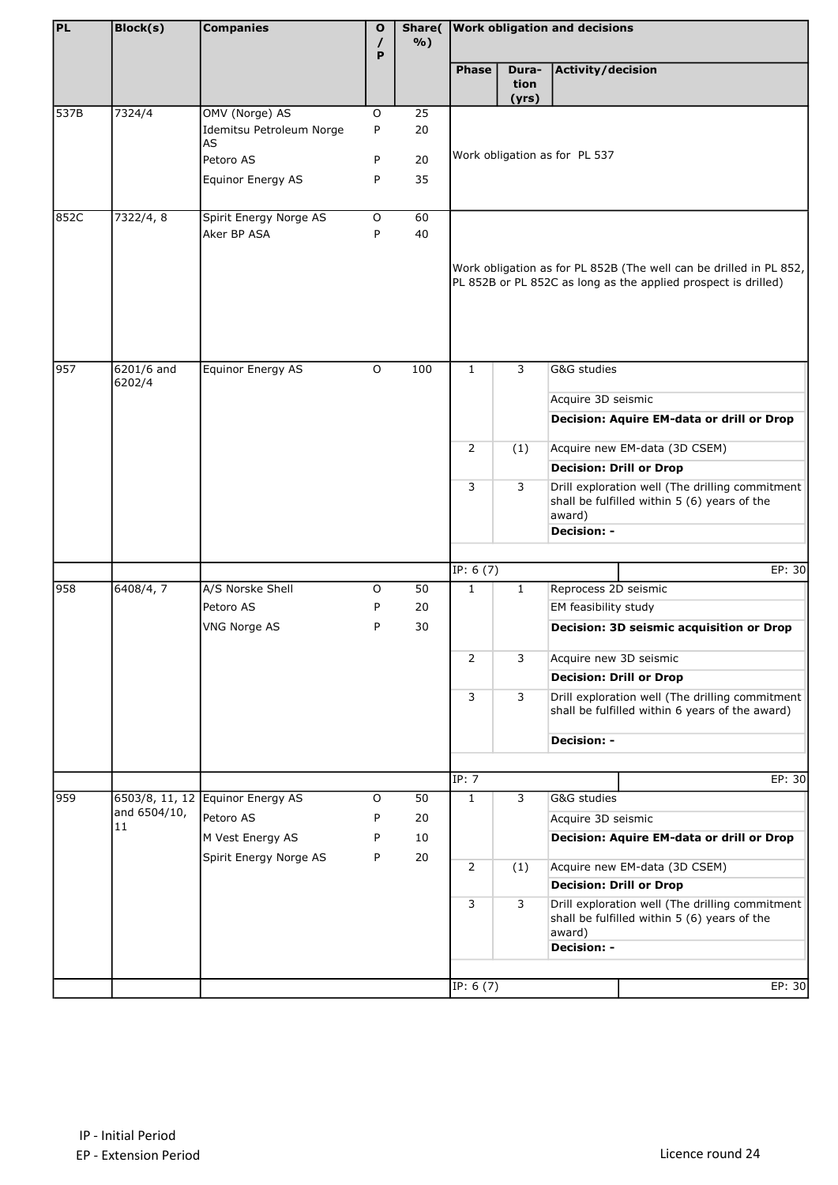| PL   | <b>Block(s)</b>                      | <b>Companies</b>                           | $\mathbf{o}$ |          |                                                                                                                                      | Share( Work obligation and decisions |                                |                                                                                                    |
|------|--------------------------------------|--------------------------------------------|--------------|----------|--------------------------------------------------------------------------------------------------------------------------------------|--------------------------------------|--------------------------------|----------------------------------------------------------------------------------------------------|
|      |                                      |                                            | I<br>P       | $\%$ )   |                                                                                                                                      |                                      |                                |                                                                                                    |
|      |                                      |                                            |              |          | <b>Phase</b>                                                                                                                         | Dura-<br>tion<br>(yrs)               | Activity/decision              |                                                                                                    |
| 537B | 7324/4                               | OMV (Norge) AS                             | $\mathsf O$  | 25       |                                                                                                                                      |                                      |                                |                                                                                                    |
|      |                                      | Idemitsu Petroleum Norge<br><b>AS</b>      | P            | 20       |                                                                                                                                      |                                      |                                |                                                                                                    |
|      |                                      | Petoro AS                                  | P            | 20       |                                                                                                                                      |                                      | Work obligation as for PL 537  |                                                                                                    |
|      |                                      | Equinor Energy AS                          | P            | 35       |                                                                                                                                      |                                      |                                |                                                                                                    |
|      |                                      |                                            |              |          |                                                                                                                                      |                                      |                                |                                                                                                    |
| 852C | 7322/4, 8                            | Spirit Energy Norge AS                     | O            | 60       |                                                                                                                                      |                                      |                                |                                                                                                    |
|      |                                      | Aker BP ASA                                | P            | 40       |                                                                                                                                      |                                      |                                |                                                                                                    |
|      |                                      |                                            |              |          | Work obligation as for PL 852B (The well can be drilled in PL 852,<br>PL 852B or PL 852C as long as the applied prospect is drilled) |                                      |                                |                                                                                                    |
| 957  | 6201/6 and                           | Equinor Energy AS                          | $\mathsf O$  | 100      | $\mathbf{1}$                                                                                                                         | 3                                    | G&G studies                    |                                                                                                    |
|      | 6202/4                               |                                            |              |          |                                                                                                                                      |                                      | Acquire 3D seismic             |                                                                                                    |
|      |                                      |                                            |              |          |                                                                                                                                      |                                      |                                | Decision: Aquire EM-data or drill or Drop                                                          |
|      |                                      |                                            |              |          |                                                                                                                                      |                                      |                                |                                                                                                    |
|      |                                      |                                            |              |          | 2                                                                                                                                    | (1)                                  |                                | Acquire new EM-data (3D CSEM)                                                                      |
|      |                                      |                                            |              |          |                                                                                                                                      |                                      | <b>Decision: Drill or Drop</b> |                                                                                                    |
|      |                                      |                                            |              |          | 3                                                                                                                                    | 3                                    | award)                         | Drill exploration well (The drilling commitment<br>shall be fulfilled within 5 (6) years of the    |
|      |                                      |                                            |              |          |                                                                                                                                      |                                      | <b>Decision: -</b>             |                                                                                                    |
|      |                                      |                                            |              |          |                                                                                                                                      |                                      |                                |                                                                                                    |
|      |                                      |                                            |              |          | IP: $6(7)$                                                                                                                           |                                      |                                | EP: 30                                                                                             |
| 958  | 6408/4, 7                            | A/S Norske Shell<br>Petoro AS              | 0            | 50       | $\mathbf{1}$<br>$\mathbf{1}$                                                                                                         |                                      | Reprocess 2D seismic           |                                                                                                    |
|      |                                      | <b>VNG Norge AS</b>                        | P<br>P       | 20<br>30 |                                                                                                                                      |                                      | EM feasibility study           |                                                                                                    |
|      |                                      |                                            |              |          |                                                                                                                                      |                                      |                                | Decision: 3D seismic acquisition or Drop                                                           |
|      |                                      |                                            |              |          | 2                                                                                                                                    | 3                                    | Acquire new 3D seismic         |                                                                                                    |
|      |                                      |                                            |              |          |                                                                                                                                      |                                      | <b>Decision: Drill or Drop</b> |                                                                                                    |
|      |                                      |                                            |              |          | 3                                                                                                                                    | 3                                    |                                | Drill exploration well (The drilling commitment<br>shall be fulfilled within 6 years of the award) |
|      |                                      |                                            |              |          |                                                                                                                                      |                                      | <b>Decision: -</b>             |                                                                                                    |
|      |                                      |                                            |              |          |                                                                                                                                      |                                      |                                |                                                                                                    |
|      |                                      |                                            |              |          | IP: 7                                                                                                                                |                                      |                                | EP: 30                                                                                             |
| 959  | 6503/8, 11, 12<br>and 6504/10,<br>11 | Equinor Energy AS                          | O            | 50       | $\mathbf{1}$                                                                                                                         | 3                                    | G&G studies                    |                                                                                                    |
|      |                                      | Petoro AS                                  | P            | 20       |                                                                                                                                      |                                      | Acquire 3D seismic             |                                                                                                    |
|      |                                      | M Vest Energy AS<br>Spirit Energy Norge AS | P<br>P       | 10<br>20 |                                                                                                                                      |                                      |                                | Decision: Aquire EM-data or drill or Drop                                                          |
|      |                                      |                                            |              |          | $\overline{2}$                                                                                                                       | (1)                                  |                                | Acquire new EM-data (3D CSEM)                                                                      |
|      |                                      |                                            |              |          |                                                                                                                                      |                                      | <b>Decision: Drill or Drop</b> |                                                                                                    |
|      |                                      |                                            |              |          | 3                                                                                                                                    | 3                                    | award)                         | Drill exploration well (The drilling commitment<br>shall be fulfilled within 5 (6) years of the    |
|      |                                      |                                            |              |          |                                                                                                                                      |                                      | <b>Decision: -</b>             |                                                                                                    |
|      |                                      |                                            |              |          |                                                                                                                                      |                                      |                                | EPI: 30                                                                                            |
|      |                                      |                                            |              |          | IP: $6(7)$                                                                                                                           |                                      |                                |                                                                                                    |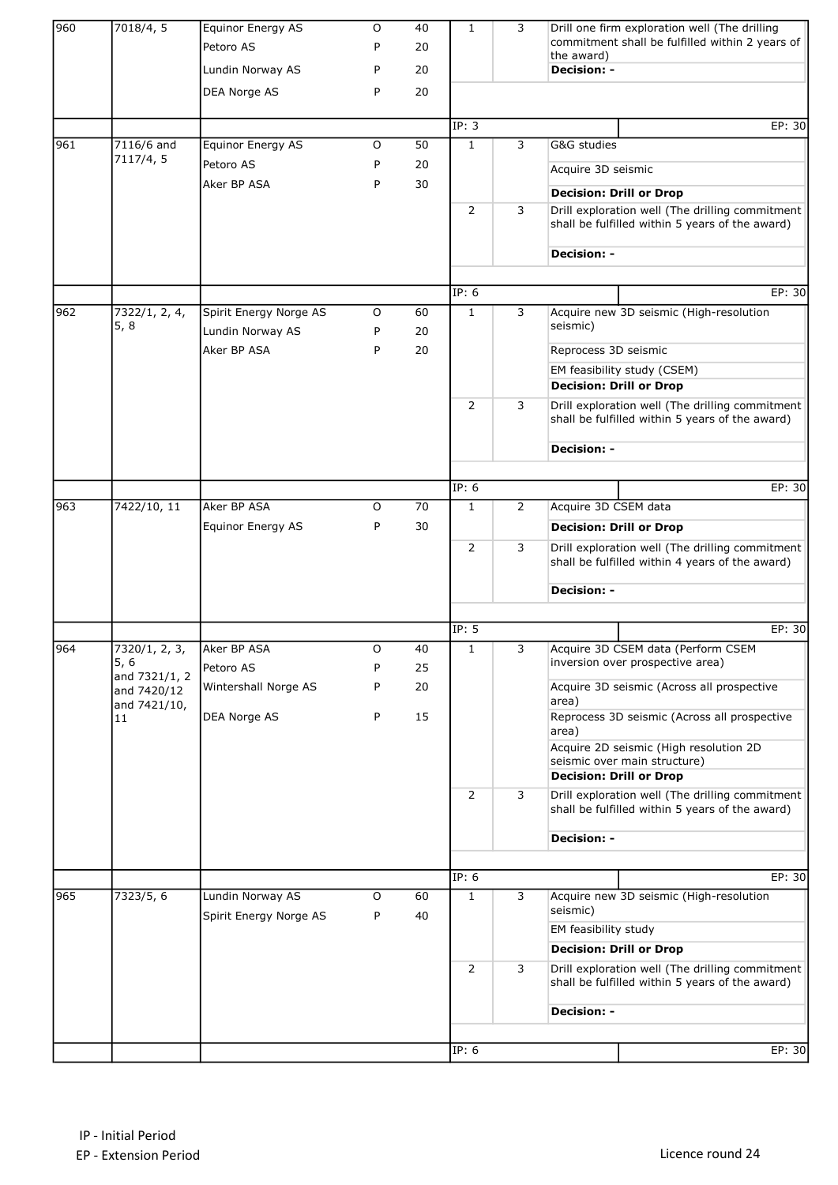| 960 | 7018/4, 5                              | Equinor Energy AS<br>Petoro AS             | O<br>P | 40<br>20 | $\mathbf{1}$   | 3              | Drill one firm exploration well (The drilling<br>commitment shall be fulfilled within 2 years of   |  |
|-----|----------------------------------------|--------------------------------------------|--------|----------|----------------|----------------|----------------------------------------------------------------------------------------------------|--|
|     |                                        | Lundin Norway AS                           | P      | 20       |                |                | the award)<br><b>Decision: -</b>                                                                   |  |
|     |                                        | DEA Norge AS                               | P      | 20       |                |                |                                                                                                    |  |
|     |                                        |                                            |        |          |                |                |                                                                                                    |  |
|     |                                        |                                            |        |          | IP: 3          |                | EP: 30                                                                                             |  |
| 961 | 7116/6 and<br>7117/4, 5                | Equinor Energy AS                          | O      | 50       | $\mathbf{1}$   | 3              | G&G studies                                                                                        |  |
|     |                                        | Petoro AS                                  | P      | 20       |                |                | Acquire 3D seismic                                                                                 |  |
|     |                                        | Aker BP ASA                                | P      | 30       |                |                | <b>Decision: Drill or Drop</b>                                                                     |  |
|     |                                        |                                            |        |          | 2              | 3              | Drill exploration well (The drilling commitment<br>shall be fulfilled within 5 years of the award) |  |
|     |                                        |                                            |        |          |                |                | <b>Decision: -</b>                                                                                 |  |
|     |                                        |                                            |        |          | IP: 6          |                | EP: 30                                                                                             |  |
| 962 | 7322/1, 2, 4,                          | Spirit Energy Norge AS                     | 0      | 60       | $\mathbf{1}$   | 3              | Acquire new 3D seismic (High-resolution                                                            |  |
|     | 5, 8                                   | Lundin Norway AS                           | P      | 20       |                |                | seismic)                                                                                           |  |
|     |                                        | Aker BP ASA                                | P      | 20       |                |                | Reprocess 3D seismic                                                                               |  |
|     |                                        |                                            |        |          |                |                | EM feasibility study (CSEM)                                                                        |  |
|     |                                        |                                            |        |          |                |                | <b>Decision: Drill or Drop</b>                                                                     |  |
|     |                                        |                                            |        |          | $\overline{2}$ | 3              | Drill exploration well (The drilling commitment<br>shall be fulfilled within 5 years of the award) |  |
|     |                                        |                                            |        |          |                |                | <b>Decision: -</b>                                                                                 |  |
|     |                                        |                                            |        |          |                |                |                                                                                                    |  |
|     |                                        |                                            |        |          | IP: 6          |                | EP: 30                                                                                             |  |
| 963 | 7422/10, 11                            | Aker BP ASA                                | O      | 70       | $\mathbf{1}$   | $\overline{2}$ | Acquire 3D CSEM data                                                                               |  |
|     |                                        | Equinor Energy AS                          | P      | 30       |                |                | <b>Decision: Drill or Drop</b>                                                                     |  |
|     |                                        |                                            |        |          | 2              | 3              | Drill exploration well (The drilling commitment<br>shall be fulfilled within 4 years of the award) |  |
|     |                                        |                                            |        |          |                |                | <b>Decision: -</b>                                                                                 |  |
|     |                                        |                                            |        |          |                |                |                                                                                                    |  |
|     |                                        |                                            |        |          | IP: 5          |                | EP: 30                                                                                             |  |
| 964 | 7320/1, 2, 3,<br>5, 6<br>and 7321/1, 2 | Aker BP ASA<br>Petoro AS                   | O<br>P | 40<br>25 | 1              | 3              | Acquire 3D CSEM data (Perform CSEM<br>inversion over prospective area)                             |  |
|     | and 7420/12<br>and 7421/10,            | Wintershall Norge AS                       | P      | 20       |                |                | Acquire 3D seismic (Across all prospective<br>area)                                                |  |
|     | 11                                     | DEA Norge AS                               | P      | 15       |                |                | Reprocess 3D seismic (Across all prospective<br>area)                                              |  |
|     |                                        |                                            |        |          |                |                | Acquire 2D seismic (High resolution 2D                                                             |  |
|     |                                        |                                            |        |          |                |                | seismic over main structure)<br><b>Decision: Drill or Drop</b>                                     |  |
|     |                                        |                                            |        |          | $\overline{2}$ | 3              | Drill exploration well (The drilling commitment<br>shall be fulfilled within 5 years of the award) |  |
|     |                                        |                                            |        |          |                |                | <b>Decision: -</b>                                                                                 |  |
|     |                                        |                                            |        |          |                |                |                                                                                                    |  |
|     |                                        |                                            |        |          | IP: 6          |                | EP: 30                                                                                             |  |
| 965 | 7323/5, 6                              | Lundin Norway AS<br>Spirit Energy Norge AS | O<br>P | 60<br>40 | $\mathbf{1}$   | 3              | Acquire new 3D seismic (High-resolution<br>seismic)                                                |  |
|     |                                        |                                            |        |          |                |                | EM feasibility study                                                                               |  |
|     |                                        |                                            |        |          |                |                | <b>Decision: Drill or Drop</b>                                                                     |  |
|     |                                        |                                            |        |          | 2              | 3              | Drill exploration well (The drilling commitment<br>shall be fulfilled within 5 years of the award) |  |
|     |                                        |                                            |        |          |                |                | <b>Decision: -</b>                                                                                 |  |
|     |                                        |                                            |        |          |                |                |                                                                                                    |  |
|     |                                        |                                            |        |          | IP: 6          |                | EP: 30                                                                                             |  |